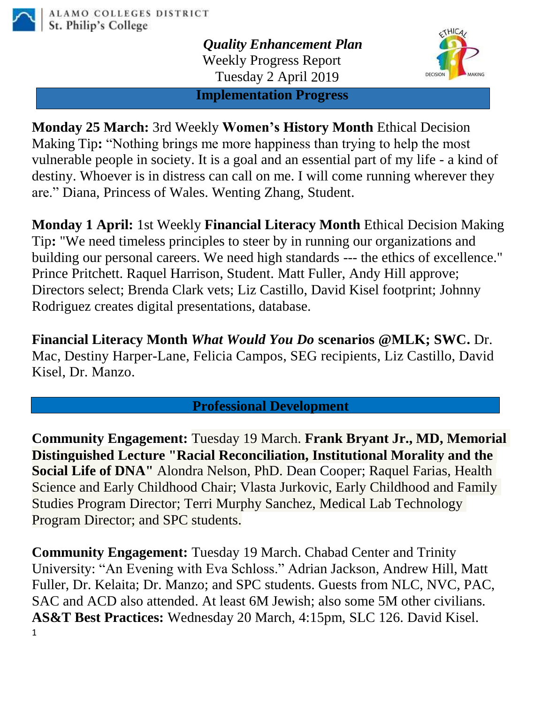

*Quality Enhancement Plan* Weekly Progress Report Tuesday 2 April 2019



**Implementation Progress**

**Monday 25 March:** 3rd Weekly **Women's History Month** Ethical Decision Making Tip**:** "Nothing brings me more happiness than trying to help the most vulnerable people in society. It is a goal and an essential part of my life - a kind of destiny. Whoever is in distress can call on me. I will come running wherever they are." Diana, Princess of Wales. Wenting Zhang, Student.

**Monday 1 April:** 1st Weekly **Financial Literacy Month** Ethical Decision Making Tip**:** "We need timeless principles to steer by in running our organizations and building our personal careers. We need high standards --- the ethics of excellence." Prince Pritchett. Raquel Harrison, Student. Matt Fuller, Andy Hill approve; Directors select; Brenda Clark vets; Liz Castillo, David Kisel footprint; Johnny Rodriguez creates digital presentations, database.

**Financial Literacy Month** *What Would You Do* **scenarios @MLK; SWC.** Dr. Mac, Destiny Harper-Lane, Felicia Campos, SEG recipients, Liz Castillo, David Kisel, Dr. Manzo.

**Professional Development**

**Community Engagement:** Tuesday 19 March. **Frank Bryant Jr., MD, Memorial Distinguished Lecture "Racial Reconciliation, Institutional Morality and the Social Life of DNA"** Alondra Nelson, PhD. Dean Cooper; Raquel Farias, Health Science and Early Childhood Chair; Vlasta Jurkovic, Early Childhood and Family Studies Program Director; Terri Murphy Sanchez, Medical Lab Technology Program Director; and SPC students.

1 **Community Engagement:** Tuesday 19 March. Chabad Center and Trinity University: "An Evening with Eva Schloss." Adrian Jackson, Andrew Hill, Matt Fuller, Dr. Kelaita; Dr. Manzo; and SPC students. Guests from NLC, NVC, PAC, SAC and ACD also attended. At least 6M Jewish; also some 5M other civilians. **AS&T Best Practices:** Wednesday 20 March, 4:15pm, SLC 126. David Kisel.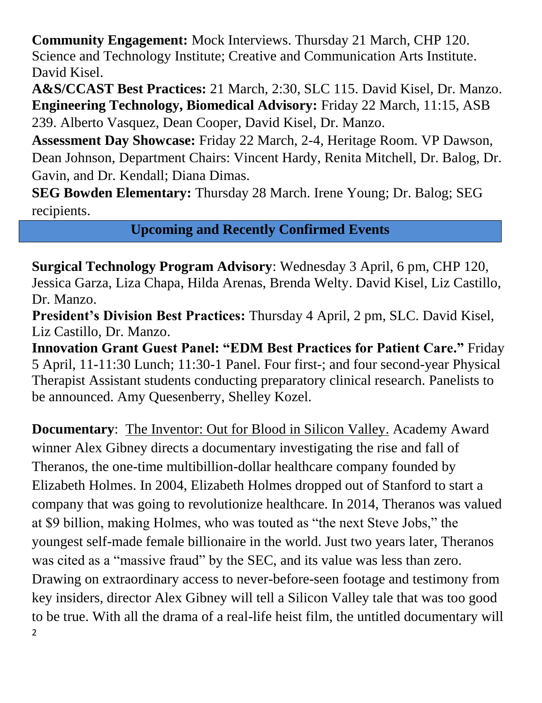**Community Engagement:** Mock Interviews. Thursday 21 March, CHP 120. Science and Technology Institute; Creative and Communication Arts Institute. David Kisel.

**A&S/CCAST Best Practices:** 21 March, 2:30, SLC 115. David Kisel, Dr. Manzo. **Engineering Technology, Biomedical Advisory:** Friday 22 March, 11:15, ASB

239. Alberto Vasquez, Dean Cooper, David Kisel, Dr. Manzo.

**Assessment Day Showcase:** Friday 22 March, 2-4, Heritage Room. VP Dawson, Dean Johnson, Department Chairs: Vincent Hardy, Renita Mitchell, Dr. Balog, Dr. Gavin, and Dr. Kendall; Diana Dimas.

**SEG Bowden Elementary:** Thursday 28 March. Irene Young; Dr. Balog; SEG recipients.

**Upcoming and Recently Confirmed Events**

**Surgical Technology Program Advisory**: Wednesday 3 April, 6 pm, CHP 120, Jessica Garza, Liza Chapa, Hilda Arenas, Brenda Welty. David Kisel, Liz Castillo, Dr. Manzo.

**President's Division Best Practices:** Thursday 4 April, 2 pm, SLC. David Kisel, Liz Castillo, Dr. Manzo.

**Innovation Grant Guest Panel: "EDM Best Practices for Patient Care."** Friday 5 April, 11-11:30 Lunch; 11:30-1 Panel. Four first-; and four second-year Physical Therapist Assistant students conducting preparatory clinical research. Panelists to be announced. Amy Quesenberry, Shelley Kozel.

2 **Documentary**: The Inventor: Out for Blood in Silicon Valley. Academy Award winner Alex Gibney directs a documentary investigating the rise and fall of Theranos, the one-time multibillion-dollar healthcare company founded by Elizabeth Holmes. In 2004, Elizabeth Holmes dropped out of Stanford to start a company that was going to revolutionize healthcare. In 2014, Theranos was valued at \$9 billion, making Holmes, who was touted as "the next Steve Jobs," the youngest self-made female billionaire in the world. Just two years later, Theranos was cited as a "massive fraud" by the SEC, and its value was less than zero. Drawing on extraordinary access to never-before-seen footage and testimony from key insiders, director Alex Gibney will tell a Silicon Valley tale that was too good to be true. With all the drama of a real-life heist film, the untitled documentary will